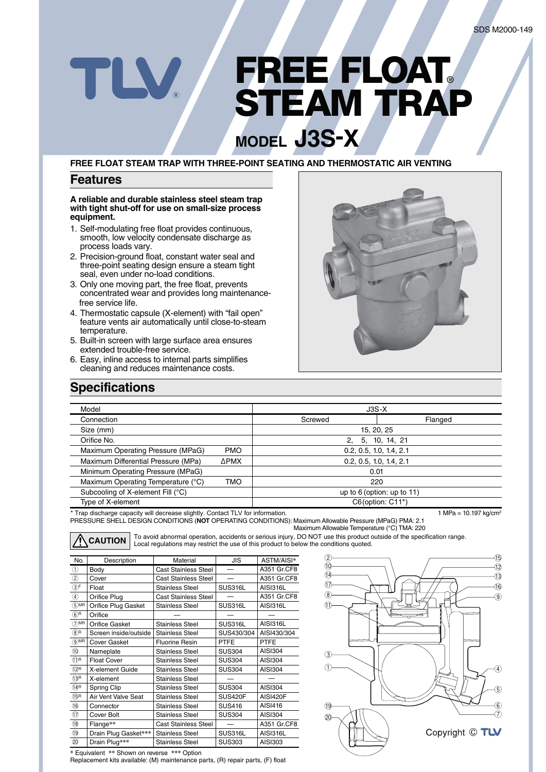# **FREE FLOAT® STEAM TRAP MODEL J3S-X**

**FREE FLOAT STEAM TRAP WITH THREE-POINT SEATING AND THERMOSTATIC AIR VENTING**

#### **Features**

TLV

**A reliable and durable stainless steel steam trap with tight shut-off for use on small-size process equipment.** 

- 1. Self-modulating free float provides continuous, smooth, low velocity condensate discharge as process loads vary.
- 2. Precision-ground float, constant water seal and three-point seating design ensure a steam tight seal, even under no-load conditions.
- 3. Only one moving part, the free float, prevents concentrated wear and provides long maintenance free service life.
- 4. Thermostatic capsule (X-element) with "fail open" feature vents air automatically until close-to-steam temperature.
- 5. Built-in screen with large surface area ensures extended trouble-free service.
- 6. Easy, inline access to internal parts simplifies cleaning and reduces maintenance costs.



### **Specifications**

| Model                                                                          |             | $J3S-X$                          |                              |  |
|--------------------------------------------------------------------------------|-------------|----------------------------------|------------------------------|--|
| Connection                                                                     |             | Screwed                          | Flanged                      |  |
| Size (mm)                                                                      |             | 15, 20, 25                       |                              |  |
| Orifice No.                                                                    |             | 2.                               | 5, 10, 14, 21                |  |
| Maximum Operating Pressure (MPaG)                                              | <b>PMO</b>  | 0.2, 0.5, 1.0, 1.4, 2.1          |                              |  |
| Maximum Differential Pressure (MPa)                                            | <b>APMX</b> | 0.2, 0.5, 1.0, 1.4, 2.1          |                              |  |
| Minimum Operating Pressure (MPaG)                                              |             | 0.01                             |                              |  |
| Maximum Operating Temperature (°C)                                             | TMO         | 220                              |                              |  |
| Subcooling of X-element Fill (°C)                                              |             |                                  | up to $6$ (option: up to 11) |  |
| Type of X-element                                                              |             |                                  | $C6$ (option: $C11^*$ )      |  |
| * Trap discharge capacity will decrease slightly. Contact TLV for information. |             | 1 MPa = $10.197 \text{ kg/cm}^2$ |                              |  |

PRESSURE SHELL DESIGN CONDITIONS (**NOT** OPERATING CONDITIONS): Maximum Allowable Pressure (MPaG) PMA: 2.1 Maximum Allowable Temperature (°C) TMA: 220 Trap discharge capacity will decrease slightly. Contact TLV for information

To avoid abnormal operation, accidents or serious injury, DO NOT use this product outside of the specification range. **CAUTION** Local regulations may restrict the use of this product to below the conditions quoted.

| No.                                       | Description           | Material                    | JIS            | ASTM/AISI*  |
|-------------------------------------------|-----------------------|-----------------------------|----------------|-------------|
| ➀                                         | Body                  | <b>Cast Stainless Steel</b> |                | A351 Gr.CF8 |
| ②                                         | Cover                 | <b>Cast Stainless Steel</b> |                |             |
| ③F                                        | Float                 | Stainless Steel             | SUS316L        |             |
| ④                                         | Orifice Plug          | <b>Cast Stainless Steel</b> |                | A351 Gr.CF8 |
| $(5)$ MR                                  | Orifice Plug Gasket   | <b>Stainless Steel</b>      | SUS316L        | AISI316L    |
| $\circledast$ R                           | Orifice               |                             |                |             |
| $(7)$ MR                                  | Orifice Gasket        | Stainless Steel             | SUS316L        | AISI316L    |
| $(8)$ R                                   | Screen inside/outside | <b>Stainless Steel</b>      | SUS430/304     | AISI430/304 |
| $\odot$ MR                                | <b>Cover Gasket</b>   | <b>Fluorine Resin</b>       | PTFE           | PTFE        |
| $^{\textcircled{\tiny{\textregistered}}}$ | Nameplate             | Stainless Steel             | <b>SUS304</b>  | AISI304     |
| $(1)$ R                                   | <b>Float Cover</b>    | <b>Stainless Steel</b>      | <b>SUS304</b>  | AISI304     |
| (12)R                                     | X-element Guide       | <b>Stainless Steel</b>      | <b>SUS304</b>  | AISI304     |
| (13)R                                     | X-element             | <b>Stainless Steel</b>      |                |             |
| ⊕®                                        | Spring Clip           | Stainless Steel             | <b>SUS304</b>  | AISI304     |
| ⊕ß                                        | Air Vent Valve Seat   | Stainless Steel             | <b>SUS420F</b> | AISI420F    |
| G)                                        | Connector             | Stainless Steel             | <b>SUS416</b>  | AISI416     |
| $^{\tiny{\textregistered}}$               | Cover Bolt            | Stainless Steel             | <b>SUS304</b>  | AISI304     |
| $\overline{18}$                           | Flange**              | <b>Cast Stainless Steel</b> |                | A351 Gr.CF8 |
| $\overline{19}$                           | Drain Plug Gasket***  | <b>Stainless Steel</b>      | SUS316L        | AISI316L    |
| 20                                        | Drain Plug***         | Stainless Steel             | <b>SUS303</b>  | AISI303     |



**\*** Equivalent **\*\*** Shown on reverse **\*\*\*** Option

Replacement kits available: (M) maintenance parts, (R) repair parts, (F) float